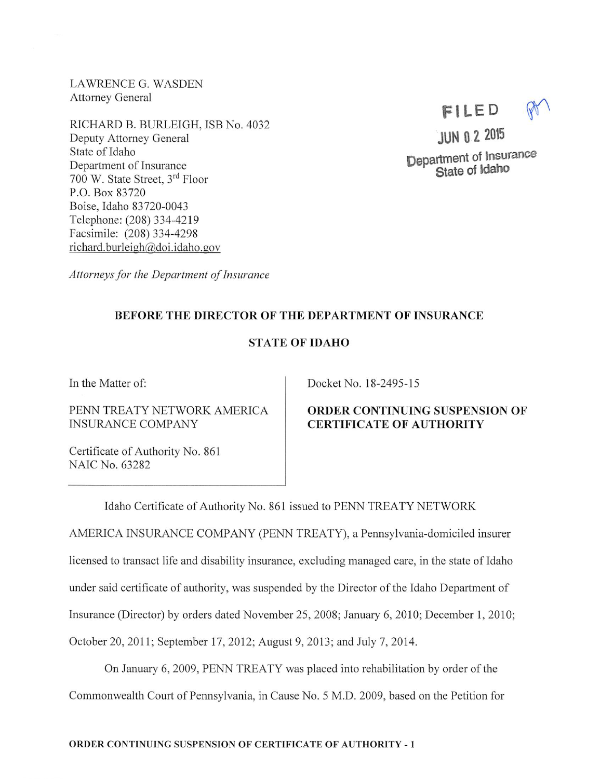LAWRENCE G. WASDEN Attorney General

RICHARD B. BURLEIGH, ISB No. 4032 Deputy Attorney General State of Idaho Department of Insurance 700 W. State Street, 3<sup>rd</sup> Floor P.O.Box 83720 Boise, Idaho 83720-0043 Telephone: (208)334-4219 Facsimile: (208) 334-4298 richard.burleigh@doi.idaho.gov

Attorneys for the Department of Insurance

# BEFORE THE DIRECTOR OF THE DEPARTMENT OF INSURANCE

# STATE OF IDAHO

In the Matter of:

PENN TREATY NETWORK AMERICA INSURANCE COMPANY

Certificate of Authority No. 861 NAIC No. 63282

Docket No. 18-2495-15

# ORDER CONTINUING SUSPENSION OF CERTIFICATE OF AUTHORITY

Idaho Certificate of Authority No. 861 issued to PENN TREATY NETWORK

AMERICA INSURANCE COMPANY (PENN TREATY), a Pennsylvania-domiciled insurer licensed to transact life and disability insurance, excluding managed care, in the state of Idaho under said certificate of authority, was suspended by the Director of the Idaho Department of Insurance (Director) by orders dated November 25, 2008; January 6, 2010; December 1, 2010; October 20, 2011; September 17, 2012; August 9, 2013; and July 7, 2014.

On January 6, 2009, PENN TREATY was placed into rehabilitation by order ofthe Commonwealth Court of Pennsylvania, in Cause No. 5 M.D. 2009, based on the Petition for

Department of Insurance State of Idaho

FILED

JUN 0 2 2015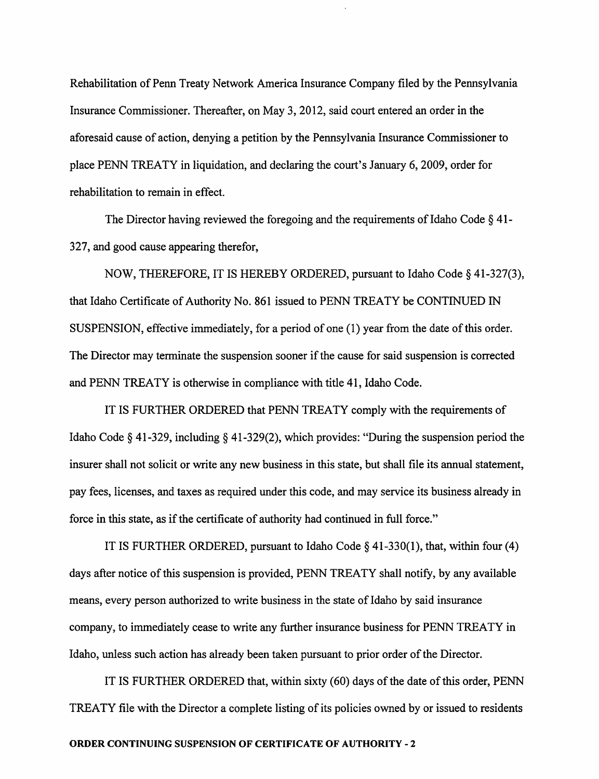Rehabilitation of Penn Treaty Network America Insurance Company filed by the Pennsylvania Insurance Commissioner. Thereafter, on May 3, 2012, said court entered an order in the aforesaid cause of action, denying a petition by the Pennsylvania Insurance Commissioner to place PENN TREATY in liquidation, and declaring the court's January 6, 2009, order for rehabilitation to remain in effect.

The Director having reviewed the foregoing and the requirements of Idaho Code  $\S$  41-327, and good cause appearing therefor,

NOW, THEREFORE, IT IS HEREBY ORDERED, pursuant to Idaho Code § 41-327(3), that Idaho Certificate of Authority No. 861 issued to PENN TREATY be CONTINUED IN SUSPENSION, effective immediately, for a period of one (1) year from the date of this order. The Director may terminate the suspension sooner if the cause for said suspension is corrected and PENN TREATY is otherwise in compliance with title 41, Idaho Code.

IT IS FURTHER ORDERED that PENN TREATY comply with the requirements of Idaho Code § 41-329, including § 41-329(2), which provides: "During the suspension period the insurer shall not solicit or write any new business in this state, but shall file its annual statement, pay fees, licenses, and taxes as required under this code, and may service its business already in force in this state, as if the certificate of authority had continued in full force."

IT IS FURTHER ORDERED, pursuant to Idaho Code  $\S$  41-330(1), that, within four (4) days after notice of this suspension is provided, PENN TREATY shall notify, by any available means, every person authorized to write business in the state of Idaho by said insurance company, to immediately cease to write any further insurance business for PENN TREATY in Idaho, unless such action has already been taken pursuant to prior order of the Director.

IT IS FURTHER ORDERED that, within sixty (60) days of the date of this order, PENN TREATY file with the Director a complete listing of its policies owned by or issued to residents

#### ORDER CONTINUING SUSPENSION OF CERTIFICATE OF AUTHORITY - 2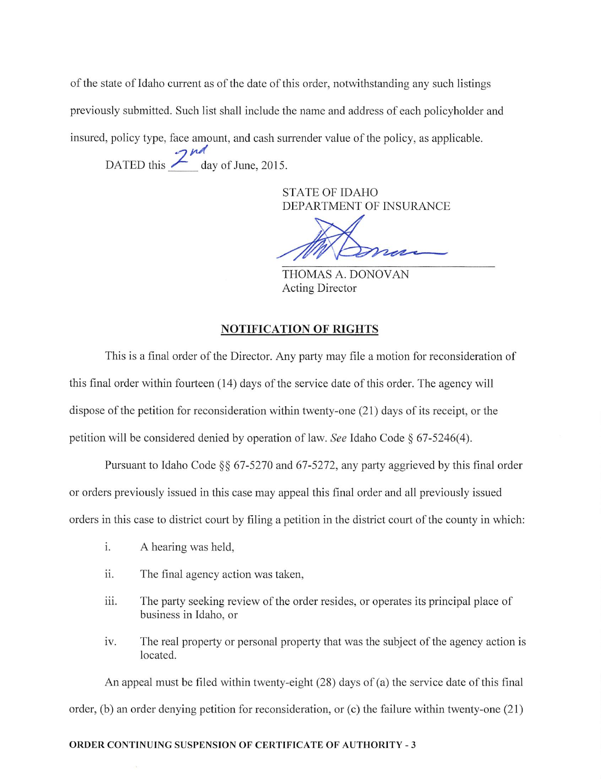of the state of Idaho current as of the date of this order, notwithstanding any such listings previously submitted. Such list shall include the name and address of each policyholder and insured, policy type, face amount, and cash surrender value of the policy, as applicable.

DATED this  $\frac{2 \text{ rad}}{2 \text{ day of June, } 2015.}$ 

**STATE OF IDAHO** DEPARTMENT OF INSURANCE

THOMAS A. DONOVAN **Acting Director** 

## **NOTIFICATION OF RIGHTS**

This is a final order of the Director. Any party may file a motion for reconsideration of this final order within fourteen (14) days of the service date of this order. The agency will dispose of the petition for reconsideration within twenty-one (21) days of its receipt, or the petition will be considered denied by operation of law. See Idaho Code § 67-5246(4).

Pursuant to Idaho Code §§ 67-5270 and 67-5272, any party aggrieved by this final order or orders previously issued in this case may appeal this final order and all previously issued orders in this case to district court by filing a petition in the district court of the county in which:

- i. A hearing was held,
- ii. The final agency action was taken,
- The party seeking review of the order resides, or operates its principal place of iii. business in Idaho, or
- iv. The real property or personal property that was the subject of the agency action is located.

An appeal must be filed within twenty-eight (28) days of (a) the service date of this final order, (b) an order denying petition for reconsideration, or (c) the failure within twenty-one  $(21)$ 

### **ORDER CONTINUING SUSPENSION OF CERTIFICATE OF AUTHORITY - 3**